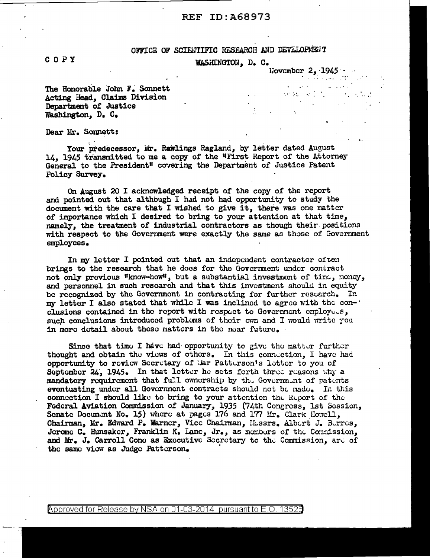# **REF ID: A68973**

## OFFICE OF SCIENTIFIC RESEARCH AND DEVELOPMENT

 $\mathcal{L}_{\mathcal{L}}$ 

WASHINGTON, D. C.

November 2, 1945

**Contract** 

 $\mathcal{A}^{\mathcal{A}}$  and  $\mathcal{A}^{\mathcal{A}}$  and  $\mathcal{A}^{\mathcal{A}}$  and

 $\sim 10$ 

The Honorable John F. Sonnett Acting Head, Claims Division Department of Justice Washington, D. C.

Dear Mr. Sonnett:

Your predecessor, Mr. Rawlings Ragland, by letter dated August 14. 1945 transmitted to me a copy of the "First Report of the Attorney General to the President" covering the Department of Justice Patent **Policy Survey.** 

On August 20 I acknowledged receipt of the copy of the report and pointed out that although I had not had opportunity to study the document with the care that I wished to give it, there was one matter of importance which I desired to bring to your attention at that time, namely, the treatment of industrial contractors as though their positions with respect to the Government were exactly the same as those of Government employees.

In my letter I pointed out that an independent contractor often brings to the research that he does for the Government under contract not only previous "know-how", but a substantial investment of time, money, and personnel in such research and that this investment should in equity be recognized by the Government in contracting for further research. In my letter I also stated that while I was inclined to agree with the con-' clusions contained in the report with respect to Government employees, such conclusions introduced problems of their own and I would write you in more detail about these matters in the near future.

Since that time I have had opportunity to give the matter further thought and obtain the views of others. In this connection, I have had opportunity to review Secretary of Mar Patterson's letter to you of September 24, 1945. In that letter he sets forth three reasons why a mandatory requirement that full ownership by the Government of patents eventuating under all Government contracts should not be made. In this connection I should like to bring to your attention the Report of the Federal Aviation Commission of January, 1935 (74th Congress, 1st Session, Senate Document No. 15) where at pages 176 and 177 Mr. Clark Howell, Chairman, Mr. Edward P. Warner, Vice Chairman, Hussrs. Alburt J. Burres, Jerome C. Hunsaker, Franklin K. Lane, Jr., as members of the Commission, and Mr. J. Carroll Cone as Executive Secretary to the Commission, are of the same view as Judge Patterson.

## COPY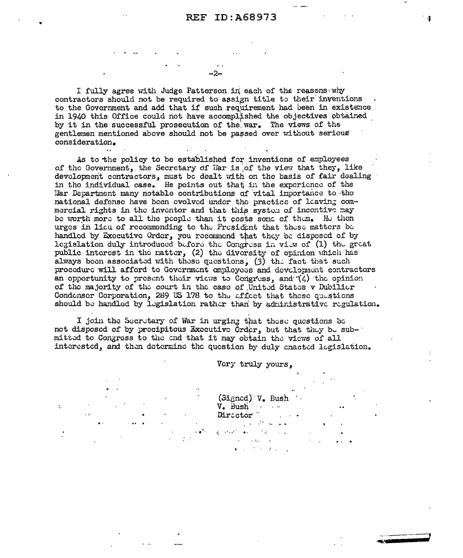I fully agree with Judge Patterson in each of the reasons why contractors should not be required to assign title to their inventions to the Government and add that if such requirement had been in existence in 1940 this Office could not have accomplished the objectives obtained by it in the successful prosecution of the war. The views of the gentlemen mentioned above should not be passed over without serious consideration.

As to the policy to be established for inventions of employees of the Government, the Secretary of War is of the view that they, like development contractors, must be dealt with on the basis of fair dealing in the individual case. He points out that in the experience of the War Department many notable contributions of vital importance to the national defense have been evolved under the practice of leaving commercial rights in the inventor and that this system of incentive may be worth more to all the people than it costs some of them. He then urges in licu of recommonding to the President that these matters be handled by Executive Order, you recommend that they be disposed of by legislation duly introduced before the Congress in view of (1) the great public interest in the natter, (2) the diversity of opinion which has always boon associated with these questions, (3) the fact that such procedure will afford to Government omployees and development contractors an opportunity to present their views to Congress, and  $(4)$  the opinion of the majority of the court in the case of United States v Dubilicr Condenser Corporation, 289 US 178 to the effect that these questions should be handled by legislation rather than by administrative regulation.

I join the Secretary of War in urging that these questions be not disposed of by precipitous Executive Order, but that they be submitted to Congress to the end that it may obtain the views of all interested, and then determine the question by duly enacted legislation.

ċ

Very truly yours.

(Signed) V. Bush V. Bush Diractor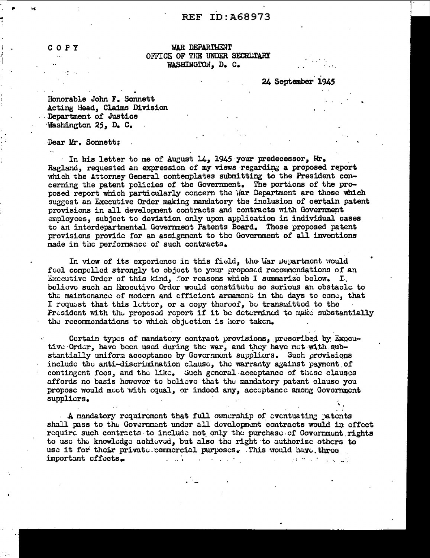# **REF ID:A68973**

COPY

**WAR DEPARTMENT** OFFICE OF THE UNDER SECRETARY WASHINGTON, D. C.

24 September 1945

Honorable John F. Sonnett Acting Head, Claims Division Department of Justice Washington 25, D. C.

Dear Mr. Sonnett;

In his letter to me of August 14, 1945 your predecessor, Mr. Ragland, requested an expression of my views regarding a proposed report which the Attorney General contemplates submitting to the President concerning the patent policies of the Government. The portions of the proposed report which particularly concern the War Department are those which suggest an Executive Order making mandatory the inclusion of certain patent provisions in all development contracts and contracts with Government employees, subject to deviation only upon application in individual cases to an interdepartmental Government Patents Board. These proposed patent provisions provide for an assignment to the Government of all inventions made in the performance of such contracts.

In view of its experience in this field, the War Department would feel compelled strongly to object to your proposed recommendations of an Executive Order of this kind, for reasons which I summarize below. I. believe such an Executive Order would constitute so serious an obstacle to the maintenance of modern and efficient armament in the days to come, that I request that this letter, or a copy thereof, be transmitted to the President with the proposed report if it be determined to make substantially the recommendations to which objection is here taken.

Cortain types of mandatory contract provisions, prescribed by Exocutive Order, have been used during the war, and they have met with substantially uniform accoptance by Government suppliers. Such provisions include the anti-discrimination clause, the warranty against payment of contingent fees, and the like. Such general acceptance of these clauses affords no basis however to believe that the mandatory patent clause you propose would meet with equal, or indeed any, acceptance among Government supplicrs.

A mandatory requirement that full ownership of eventuating patents shall pass to the Government under all development contracts would in effect require such contracts to include not only the purchase of Government rights to use the knowledge achieved, but also the right to authorize others to use it for their private commercial purposes. This would have three important cffects.  $\mathcal{L}$  and  $\mathcal{L}$ the control of the control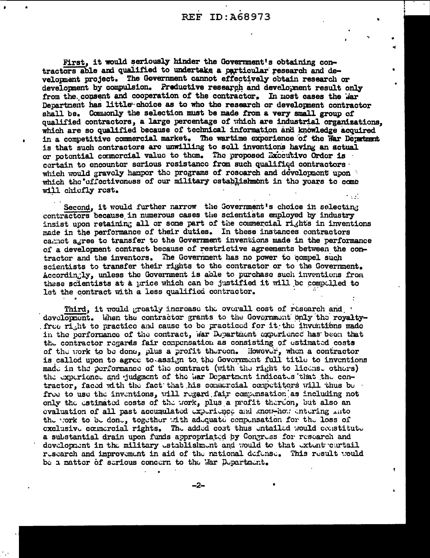First, it would seriously hinder the Government's obtaining contractors able and qualified to undertake a particular research and development project. The Government cannot effectively obtain research or development by compulsion. Preductive research and development result only from the consent and cooperation of the contractor. In most cases the war Department has little choice as to who the research or development contractor shall be. Commonly the selection must be made from a very small group of qualified contractors, a large percentage of which are industrial organizations. which are so qualified because of technical information and knowledge acquired in a competitive commercial market. The wartime experience of the Nar Depatment is that such contractors are unwilling to sell inventions having an actual or potential commercial value to them. The proposed Executive Order is certain to encounter serious resistance from such qualified contractors which would gravely hanper the programs of research and development upon which the cffectivoness of our military establishment in the years to come will chiefly rest.  $\sim 100$ 

Second, it would further narrow the Government's choice in selecting contractors because in numerous cases the scientists employed by industry insist upon retaining all or some part of the commercial rights in inventions made in the performance of their duties. In these instances contractors cannot agree to transfer to the Government inventions made in the performance of a development contract because of restrictive agreements between the contractor and the inventors. The Government has no power to compel such scientists to transfer their rights to the contractor or to the Government. Accordingly, unless the Government is able to purchase such inventions from these scientists at a price which can be justified it will be compolled to let the contract with a less qualified contractor.

Third, it would greatly increase the overall cost of research and development. When the contractor grants to the Government only the royaltyfree right to practice and cause to be practiced for it the inventions made in the performance of the contract, war Department experience has been that the contractor regards fair compensation as consisting of estimated costs of the work to be done, plus a profit thereon. However, when a contractor is called upon to agree to assign to the Government full title to inventions made in the performance of the contract (with the right to license others) the experience and judgment of the War Department indicates that the contractor, faced with the fact that his conacreial competitors will thus be free to use the inventions, will regard fair compensation as including not only the estimated costs of the work, plus a profit thereon, but also an evaluation of all past accumulated experience and know-how entering mato the cork to be done, together with adequate compensation for the loss of exclusive connercial rights. The added cost thus entailed would constitute a substantial drain upon funds appropriated by Congress for research and development in the military establishment and would to that extent curtail research and improvement in aid of the national defense. This result would be a matter of serious concern to the War Department.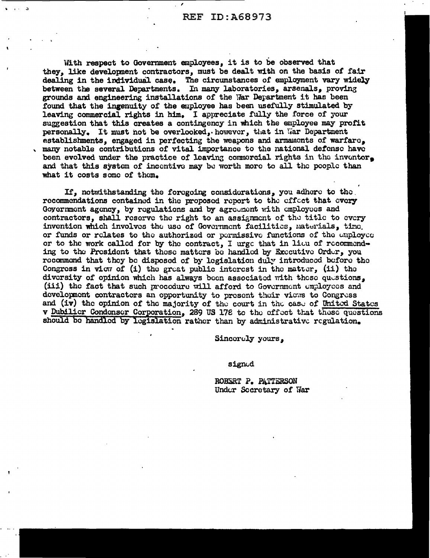With respect to Government employees, it is to be observed that they, like development contractors, must be dealt with on the basis of fair dealing in the individual case. The circumstances of employment vary widely between the several Departments. In many laboratories, arsenals, proving grounds and engineering installations of the War Department it has been found that the ingenuity of the employee has been usefully stimulated by leaving commercial rights in him. I appreciate fully the force of your suggestion that this creates a contingency in which the employee may profit personally. It must not be overlooked, however, that in War Department establishments, engaged in perfecting the weapons and armaments of warfare. many notable contributions of vital importance to the national defense have been evolved under the practice of leaving commercial rights in the inventor. and that this system of incentive may be worth more to all the people than what it costs some of them.

If, notwithstanding the foregoing considerations, you adhere to the recommendations contained in the proposed report to the effect that every Government agency, by regulations and by agreement with employees and contractors, shall reserve the right to an assignment of the title to every invention which involves the use of Government facilities, materials, time. or funds or relates to the authorized or permissive functions of the employee or to the work called for by the contract, I urge that in lieu of recommending to the President that these matters be handled by Executive Order, you recommend that they be disposed of by legislation duly introduced before the Congress in view of  $(i)$  the great public interest in the matter,  $(ii)$  the diversity of opinion which has always been associated with these questions, (iii) the fact that such procedure will afford to Government employees and development contractors an opportunity to present their views to Congress and (iv) the opinion of the majority of the court in the case of United States v Dubilier Condonser Corporation, 289 US 178 to the effect that these questions should be handled by legislation rather than by administrative regulation.

Sincerely yours,

#### signud

ROBERT P. PATTERSON Under Secretary of War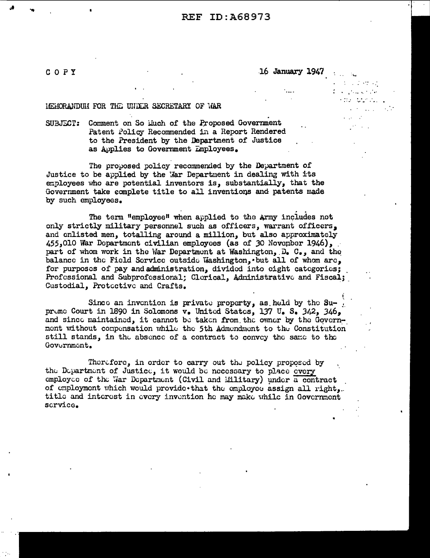# **REF ID: A68973**

COPY

16 January 1947

 $\mathcal{A}$  and  $\mathcal{A}_\bullet$ 

 $\mathcal{L}^{\mathcal{L}}$  ,  $\mathcal{L}^{\mathcal{L}}$  ,  $\mathcal{L}^{\mathcal{L}}$  ,  $\mathcal{L}^{\mathcal{L}}$  ,  $\mathcal{L}^{\mathcal{L}}$  $\mathcal{L}^{\mathcal{A}}$  , where  $\mathcal{L}^{\mathcal{A}}$  and  $\mathcal{L}^{\mathcal{A}}$  are  $\mathcal{L}^{\mathcal{A}}$  $\sim 1000$  ,  $\sim 1000$  ,  $\sim 1000$ 

 $\mathcal{L}^{\text{max}}$  and  $\mathcal{L}^{\text{max}}$ 

#### LEMORANDUM FOR THE UNDER SECRETARY OF MAR

SUBJECT: Comment on So Liuch of the Proposed Government Patent Policy Recommended in a Report Rendered to the President by the Department of Justice as Applies to Government Employees.

The proposed policy recommended by the Department of Justice to be applied by the War Department in dealing with its employees who are potential inventors is, substantially, that the Government take complete title to all inventions and patents made by such employees.

The term "employee" when applied to the Army includes not only strictly military personnel such as officers, warrant officers. and enlisted men, totalling around a million, but also approximately 455,010 War Department civilian employees (as of 30 November 1946), part of whom work in the War Department at Washington, D. C., and the balance in the Field Service outside Washington, but all of whom are, for purposes of pay and administration, divided into eight categories; Professional and Subprofessional; Clerical, Administrative and Fiscal; Custodial, Protective and Crafts.

Since an invention is private property, as held by the  $Su-$ . preme Court in 1890 in Solomons v. United States, 137 U. S. 342, 346, and since maintained, it cannot be taken from the owner by the Government without compensation while the 5th Admendment to the Constitution still stands, in the absence of a contract to convey the same to the Government.

Therefore, in order to carry out the policy proposed by the Department of Justice, it would be necessary to place every employee of the War Department (Civil and Military) under a contract of employment which would provide that the employee assign all right. title and interest in every invention he may make while in Government scrvice.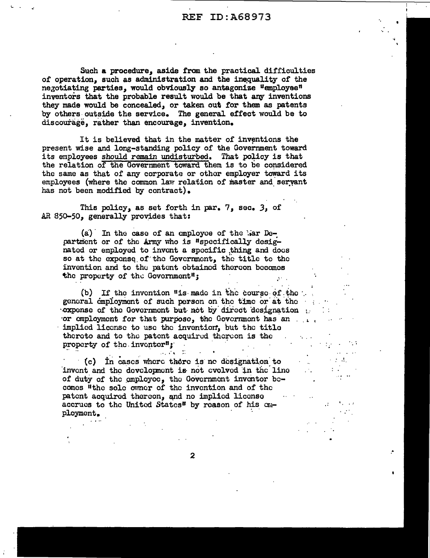Such a procedure, aside from the practical difficulties of operation, such as administration and the inequality of the negotiating parties, would obviously so antagonize "employee" inventors that the probable result would be that any inventions they made would be concealed, or taken out for them as patents by others outside the service. The general effect would be to discourage, rather than encourage, invention.

It is believed that in the matter of inventions the present wise and long-standing policy of the Government toward its employees should remain undisturbed. That policy is that the relation of the Government toward them is to be considered the same as that of any corporate or other employer toward its employees (where the common law relation of master and servant has not been modified by contract).

This policy, as set forth in par. 7, sec. 3, of AR 850-50, generally provides that:

(a) In the case of an employee of the Mar Department or of the Army who is "specifically designated or employed to invent a specific thing and does so at the expense of the Government, the title to the invention and to the patent obtained thereon becomes the property of the Government";  $\Delta\sim 10^4$ 

(b) If the invention "is made in the course of the general employment of such person on the time or at the same set of such a set of second states of states of s cxpense of the Government but not by direct designation or employment for that purpose, the Government has an implied license to use the invention, but the title thereto and to the patent acquired thereon is the property of the inventor";  $\mathcal{L}^{\mathcal{L}}(\mathcal{L}^{\mathcal{L}})$  and  $\mathcal{L}^{\mathcal{L}}(\mathcal{L}^{\mathcal{L}})$  and  $\mathcal{L}^{\mathcal{L}}(\mathcal{L}^{\mathcal{L}})$  $\sim 10^{-11}$  $\mathcal{L}_{\text{max}}$  and  $\mathcal{L}_{\text{max}}$  $\mu_1$  and  $\mu_2$  . The second constant

**Contractor** 

 $\sim 10^{11}$ 

 $\sim 10^{10}$  .

**Carl Mariae** 

 $\mathbf{v}^{(i)}$ 

 $\sim 10$ 

(c) In cases where there is no designation to invent and the development is not evolved in the line of duty of the employee, the Government inventor be-<br>comes "the sole owner of the invention and of the patent acquired thereon, and no implied license  $\sim 10^{11}$  km  $^{-1}$ accrues to the United States" by reason of his employment.

 $\mathbf{2}$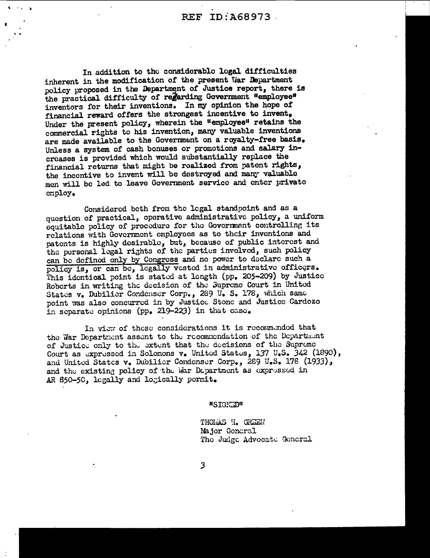In addition to the considerable legal difficulties inherent in the modification of the present War Department policy proposed in the Department of Justice report, there is the practical difficulty of regarding Government "employee" inventors for their inventions. In my opinion the hope of financial reward offers the strongest incentive to invent. Under the present policy, wherein the "employee" retains the commercial rights to his invention, many valuable inventions are made available to the Government on a royalty-free basis. Unless a system of cash bonuses or promotions and salary increases is provided which would substantially replace the financial returns that might be realized from patent rights, the incentive to invent will be destroyed and many valuable men will be led to leave Government service and enter private cmploy.

Considered both from the logal standpoint and as a question of practical, operative administrative policy, a uniform equitable policy of procedure for the Government controlling its relations with Government employees as to their inventions and patents is highly desirable, but, because of public interest and the personal legal rights of the parties involved, such policy can be defined only by Congress and no power to declare such a policy is, or can be, legally vested in administrative officers. This identical point is stated at length (pp. 205-209) by Justice Roberts in writing the decision of the Supreme Court in United States v. Dubilier Condenser Corp., 289 U. S. 178, which same point was also concurred in by Justice Stone and Justice Cardozo in separate opinions (pp. 219-223) in that case.

In view of these considerations it is recommended that the War Department assent to the recommendation of the Department of Justice only to the extent that the decisions of the Supreme Court as expressed in Solomons v. United States, 137 U.S. 342 (1890), and United States v. Dubilier Condenser Corp., 289 U.S. 178 (1933), and the existing policy of the Mar Department as expressed in AR 850-50, legally and logically permit.

"SIGNED"

THOMAS H. GREEN Major General The Judge Advocate General

3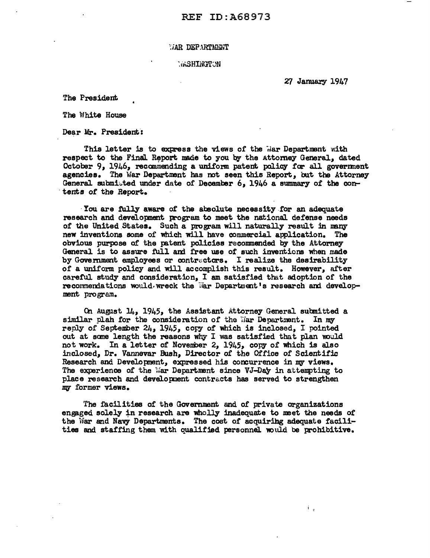## WAR DEPARTMENT

## **MONITOR**

27 January 1947

ńу

The President

The White House

Dear Mr. President:

This letter is to express the views of the Mar Department with respect to the Final Report made to you by the Attorney General, dated October 9, 1946, recommending a uniform patent policy for all government agencies. The War Department has not seen this Report, but the Attorney General submitted under date of December  $6$ , 1946 a summary of the con- tents of the Report.

· You are fully aware of the absolute necessity .for an adequate research and development program to meet the national defense needs of the United States. Such a program will naturally result in many new inventions some of which will have commercial application. The obvious purpose of the patent policies recommended by the Attorney General is to assure full and free use of such inventions when made by Government employees or contractors. I realize the desirability of a uniform policy and will accomplish this result. However, after careful study and consideration, I am satisfied that adoption of the recommendations would. wreck the war Department's research and development pro gram.

On August  $14$ , 1945, the Assistant Attorney General submitted a similar plah for the consideration of the War Department. In my reply of September 24, 1945, copy of which is inclosed, I pointed out at some length the reasons why I was satisfied that plan would not work. In a letter of November 2, 1945, copy or which is also inclosed, Dr. Vannevar Bush, Director of the Office of Scientific Research and Development, expressed his concurrence in my views. The experience of the war Department since VJ-Day in attempting to place re search and develo pnent contracts has served to strengthen *1If3* former views.

'fhe facilities of the Government and of private organizations engaged solely in research are wholly inadequate to meet the needs of the War and Navy Departments. The cost of acquiring adequate facilities and staffing them with qualified personnel would be prohibitive.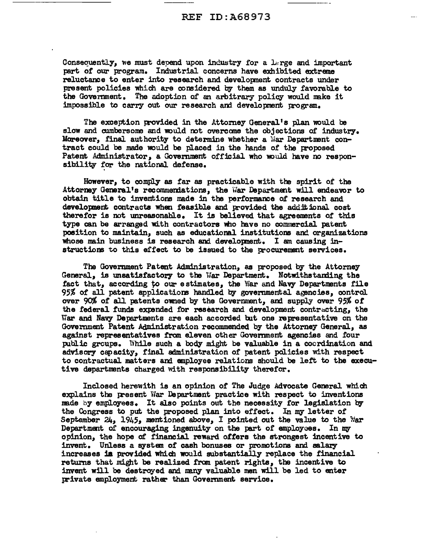Consequently, we must depend upon industry for a large and important part *ot* our program. Industrial concerns have exhibited extreme reluctance to enter into research and developnent contracts under present policies which are considered by them as unduly favorable to the Government. The adoption of an arbitrary policy would make it impossible to carry out our research and development program.

The exception provided in the Attorney General's plan would be slow and cumbersome and would not overcome the objections of industry. Moreover, final authority to determine whether a War Department contract could be made would be placed in the hands of the proposed Patent Administrator, a Government official who would have no responsibility for the national defense.

However, to comply as far as practicable with the spirit of the Attorney General's recommendations, the War Department will endeavor to obtain title to inventions made in the performance of research and development contracts when feasible and provided the additional cost therefor is not unreasonable. It is believed that agreements of this type can be arranged with contractors who have no commercial patent position to maintain, such as educational institutions and organizations whose main business is research and developnent. I am causing instructions to this effect to be issued to the procurement services.

The Govemment Patent Administration, as proposed by the Attorney General, is unsatisfactory to the War Department. Notwithstanding the fact that, according to our estimates, the War and Navy Departments file 95% of all patent applications handled by governmental agencies, control over 90% of all patents owned by the Government, and supply over 95% of the federal funds expended for research and development contracting, the War and Navy Departments are each accorded but one representative on the Government Patent Administration recommended by the Attorney General, as against representatives fran eleven other Govemment agencies and four public groups. While such a body might be valuable in a coordination and advisory capacity, final administration of patent policies with respect to contractual matters and employee relations should be left to the executive departnents charged with responsibility therefor.

Inclosed herewith is an opinion of The Judge Advocate General which explains the present War Department practice with respect to inventions made by employees. It also points out the necessity for legislation by the Congress to put the proposed plan into effect. In my letter of September 24, 1945, mentioned above, I pointed out the value to the *Var* Department of encouraging ingenuity on the part of employees. In my opinion, the hope of financial reward offers the strongest incentive to invent. Unless a system of cash bonuses or promotions and salary increases ia provided which would substantially replace the financial returns that might be realized from patent rights, the incentive to invent will be destroyed and many valuable men will be led to enter private employment rather than Government service.